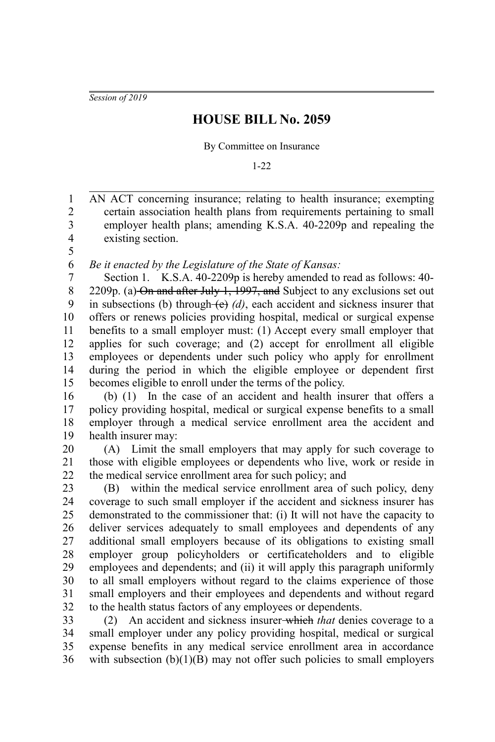*Session of 2019*

## **HOUSE BILL No. 2059**

By Committee on Insurance

1-22

AN ACT concerning insurance; relating to health insurance; exempting certain association health plans from requirements pertaining to small employer health plans; amending K.S.A. 40-2209p and repealing the existing section. 1 2 3 4

5

*Be it enacted by the Legislature of the State of Kansas:* 6

Section 1. K.S.A. 40-2209p is hereby amended to read as follows: 40- 2209p. (a) On and after July 1, 1997, and Subject to any exclusions set out in subsections (b) through  $(e)$  *(d)*, each accident and sickness insurer that offers or renews policies providing hospital, medical or surgical expense benefits to a small employer must: (1) Accept every small employer that applies for such coverage; and (2) accept for enrollment all eligible employees or dependents under such policy who apply for enrollment during the period in which the eligible employee or dependent first becomes eligible to enroll under the terms of the policy. 7 8 9 10 11 12 13 14 15

(b) (1) In the case of an accident and health insurer that offers a policy providing hospital, medical or surgical expense benefits to a small employer through a medical service enrollment area the accident and health insurer may: 16 17 18 19

(A) Limit the small employers that may apply for such coverage to those with eligible employees or dependents who live, work or reside in the medical service enrollment area for such policy; and 20 21 22

(B) within the medical service enrollment area of such policy, deny coverage to such small employer if the accident and sickness insurer has demonstrated to the commissioner that: (i) It will not have the capacity to deliver services adequately to small employees and dependents of any additional small employers because of its obligations to existing small employer group policyholders or certificateholders and to eligible employees and dependents; and (ii) it will apply this paragraph uniformly to all small employers without regard to the claims experience of those small employers and their employees and dependents and without regard to the health status factors of any employees or dependents. 23 24 25 26 27 28 29 30 31 32

(2) An accident and sickness insurer which *that* denies coverage to a small employer under any policy providing hospital, medical or surgical expense benefits in any medical service enrollment area in accordance with subsection  $(b)(1)(B)$  may not offer such policies to small employers 33 34 35 36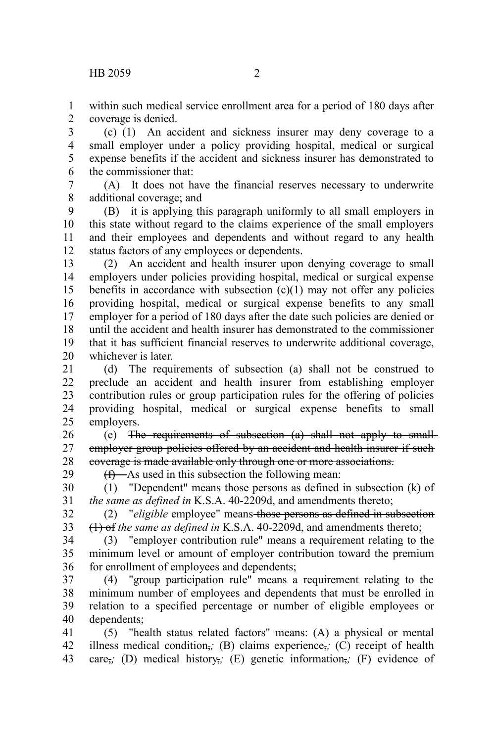within such medical service enrollment area for a period of 180 days after coverage is denied. 1 2

(c) (1) An accident and sickness insurer may deny coverage to a small employer under a policy providing hospital, medical or surgical expense benefits if the accident and sickness insurer has demonstrated to the commissioner that: 3 4 5 6

(A) It does not have the financial reserves necessary to underwrite additional coverage; and 7 8

(B) it is applying this paragraph uniformly to all small employers in this state without regard to the claims experience of the small employers and their employees and dependents and without regard to any health status factors of any employees or dependents. 9 10 11 12

(2) An accident and health insurer upon denying coverage to small employers under policies providing hospital, medical or surgical expense benefits in accordance with subsection  $(c)(1)$  may not offer any policies providing hospital, medical or surgical expense benefits to any small employer for a period of 180 days after the date such policies are denied or until the accident and health insurer has demonstrated to the commissioner that it has sufficient financial reserves to underwrite additional coverage, whichever is later. 13 14 15 16 17 18 19 20

(d) The requirements of subsection (a) shall not be construed to preclude an accident and health insurer from establishing employer contribution rules or group participation rules for the offering of policies providing hospital, medical or surgical expense benefits to small employers. 21 22 23 24 25

(e) The requirements of subsection (a) shall not apply to small employer group policies offered by an accident and health insurer if such coverage is made available only through one or more associations. 26 27 28 29

 $(f)$ —As used in this subsection the following mean:

(1) "Dependent" means those persons as defined in subsection (k) of *the same as defined in* K.S.A. 40-2209d, and amendments thereto; 30 31

(2) "*eligible* employee" means those persons as defined in subsection (1) of *the same as defined in* K.S.A. 40-2209d, and amendments thereto; 32 33

(3) "employer contribution rule" means a requirement relating to the minimum level or amount of employer contribution toward the premium for enrollment of employees and dependents; 34 35 36

(4) "group participation rule" means a requirement relating to the minimum number of employees and dependents that must be enrolled in relation to a specified percentage or number of eligible employees or dependents; 37 38 39 40

(5) "health status related factors" means: (A) a physical or mental illness medical condition,*;* (B) claims experience,*;* (C) receipt of health care,*;* (D) medical history,*;* (E) genetic information,*;* (F) evidence of 41 42 43